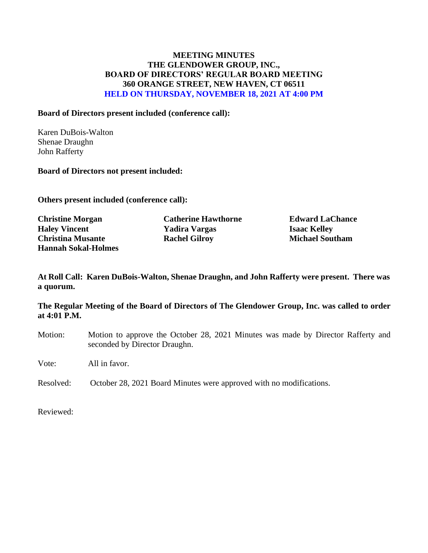## **MEETING MINUTES THE GLENDOWER GROUP, INC., BOARD OF DIRECTORS' REGULAR BOARD MEETING 360 ORANGE STREET, NEW HAVEN, CT 06511 HELD ON THURSDAY, NOVEMBER 18, 2021 AT 4:00 PM**

#### **Board of Directors present included (conference call):**

Karen DuBois-Walton Shenae Draughn John Rafferty

#### **Board of Directors not present included:**

**Others present included (conference call):**

**Christine Morgan Catherine Hawthorne Edward LaChance Haley Vincent Yadira Vargas Isaac Kelley Christina Musante Rachel Gilroy Michael Southam Hannah Sokal-Holmes**

**At Roll Call: Karen DuBois-Walton, Shenae Draughn, and John Rafferty were present. There was a quorum.** 

**The Regular Meeting of the Board of Directors of The Glendower Group, Inc. was called to order at 4:01 P.M.**

Motion: Motion to approve the October 28, 2021 Minutes was made by Director Rafferty and seconded by Director Draughn.

Vote: All in favor.

Resolved: October 28, 2021 Board Minutes were approved with no modifications.

Reviewed: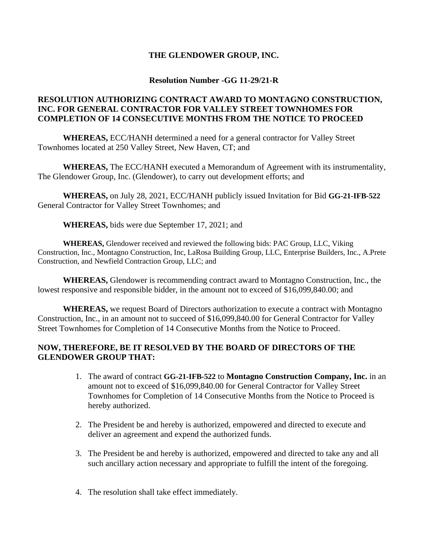## **THE GLENDOWER GROUP, INC.**

#### **Resolution Number -GG 11-29/21-R**

## **RESOLUTION AUTHORIZING CONTRACT AWARD TO MONTAGNO CONSTRUCTION, INC. FOR GENERAL CONTRACTOR FOR VALLEY STREET TOWNHOMES FOR COMPLETION OF 14 CONSECUTIVE MONTHS FROM THE NOTICE TO PROCEED**

**WHEREAS,** ECC/HANH determined a need for a general contractor for Valley Street Townhomes located at 250 Valley Street, New Haven, CT; and

**WHEREAS,** The ECC/HANH executed a Memorandum of Agreement with its instrumentality, The Glendower Group, Inc. (Glendower), to carry out development efforts; and

**WHEREAS,** on July 28, 2021, ECC/HANH publicly issued Invitation for Bid **GG-21-IFB-522** General Contractor for Valley Street Townhomes; and

**WHEREAS,** bids were due September 17, 2021; and

**WHEREAS,** Glendower received and reviewed the following bids: PAC Group, LLC, Viking Construction, Inc., Montagno Construction, Inc, LaRosa Building Group, LLC, Enterprise Builders, Inc., A.Prete Construction, and Newfield Contraction Group, LLC; and

**WHEREAS,** Glendower is recommending contract award to Montagno Construction, Inc., the lowest responsive and responsible bidder, in the amount not to exceed of \$16,099,840.00; and

**WHEREAS,** we request Board of Directors authorization to execute a contract with Montagno Construction, Inc., in an amount not to succeed of \$16,099,840.00 for General Contractor for Valley Street Townhomes for Completion of 14 Consecutive Months from the Notice to Proceed.

# **NOW, THEREFORE, BE IT RESOLVED BY THE BOARD OF DIRECTORS OF THE GLENDOWER GROUP THAT:**

- 1. The award of contract **GG-21-IFB-522** to **Montagno Construction Company, Inc.** in an amount not to exceed of \$16,099,840.00 for General Contractor for Valley Street Townhomes for Completion of 14 Consecutive Months from the Notice to Proceed is hereby authorized.
- 2. The President be and hereby is authorized, empowered and directed to execute and deliver an agreement and expend the authorized funds.
- 3. The President be and hereby is authorized, empowered and directed to take any and all such ancillary action necessary and appropriate to fulfill the intent of the foregoing.
- 4. The resolution shall take effect immediately.